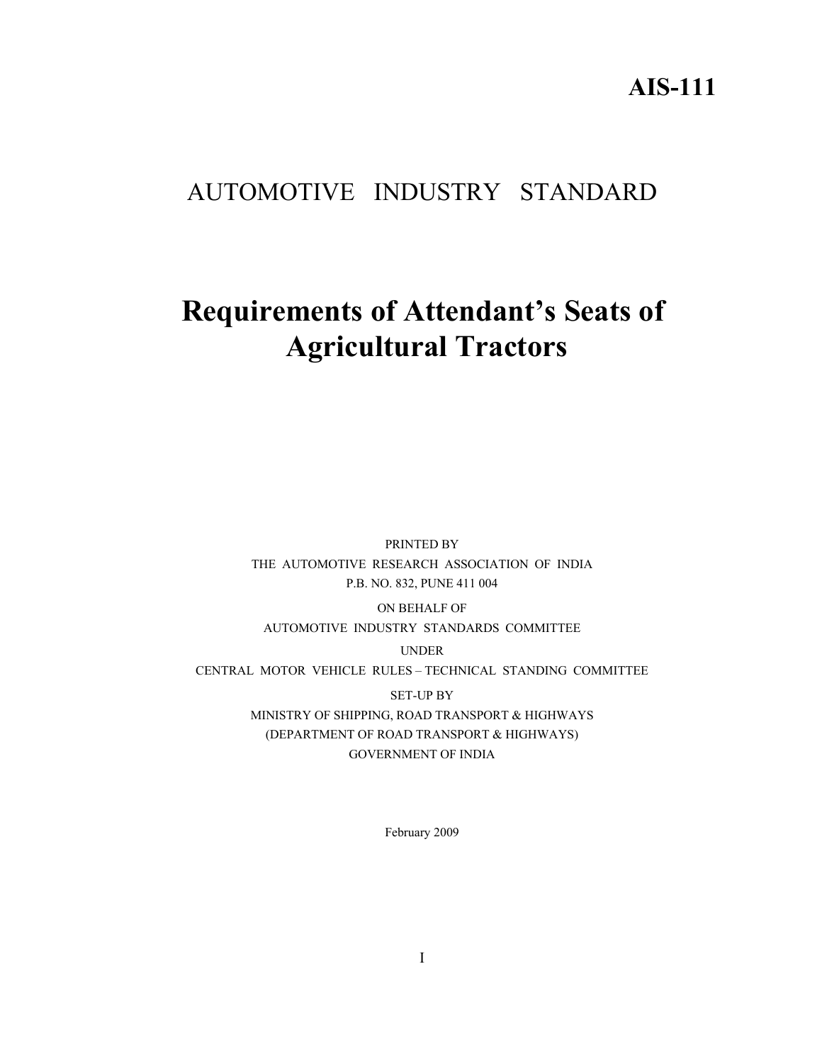**AIS-111** 

# AUTOMOTIVE INDUSTRY STANDARD

# **Requirements of Attendant's Seats of Agricultural Tractors**

PRINTED BY THE AUTOMOTIVE RESEARCH ASSOCIATION OF INDIA P.B. NO. 832, PUNE 411 004

ON BEHALF OF

AUTOMOTIVE INDUSTRY STANDARDS COMMITTEE

UNDER

CENTRAL MOTOR VEHICLE RULES – TECHNICAL STANDING COMMITTEE

SET-UP BY

MINISTRY OF SHIPPING, ROAD TRANSPORT & HIGHWAYS (DEPARTMENT OF ROAD TRANSPORT & HIGHWAYS) GOVERNMENT OF INDIA

February 2009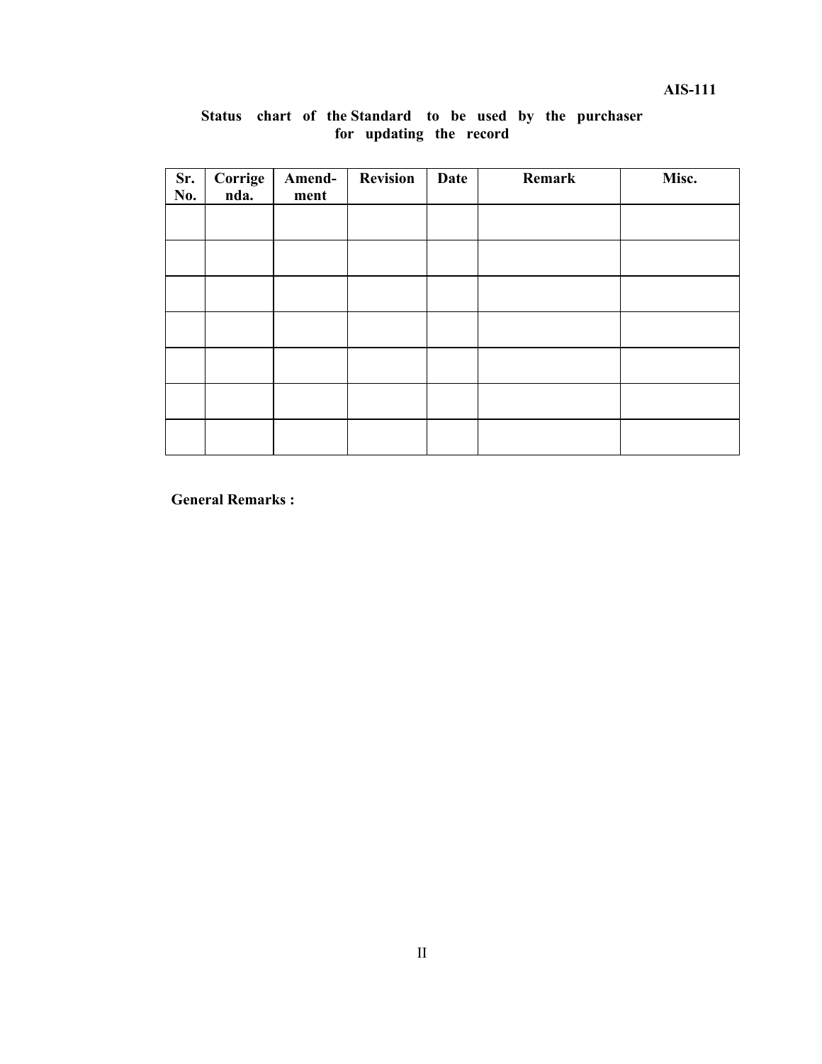**AIS-111** 

| Sr.<br>No. | Corrige<br>nda. | Amend-<br>ment | <b>Revision</b> | Date | Remark | Misc. |
|------------|-----------------|----------------|-----------------|------|--------|-------|
|            |                 |                |                 |      |        |       |
|            |                 |                |                 |      |        |       |
|            |                 |                |                 |      |        |       |
|            |                 |                |                 |      |        |       |
|            |                 |                |                 |      |        |       |
|            |                 |                |                 |      |        |       |
|            |                 |                |                 |      |        |       |

#### **Status chart of the Standard to be used by the purchaser for updating the record**

**General Remarks :**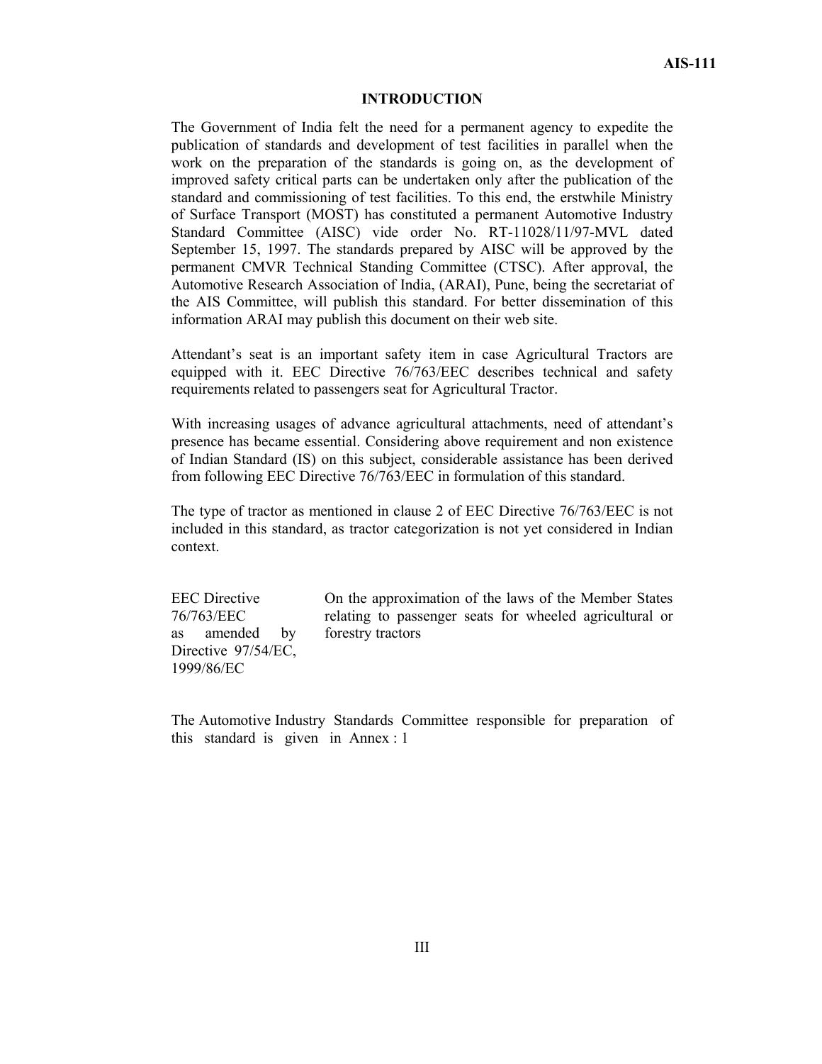#### **INTRODUCTION**

The Government of India felt the need for a permanent agency to expedite the publication of standards and development of test facilities in parallel when the work on the preparation of the standards is going on, as the development of improved safety critical parts can be undertaken only after the publication of the standard and commissioning of test facilities. To this end, the erstwhile Ministry of Surface Transport (MOST) has constituted a permanent Automotive Industry Standard Committee (AISC) vide order No. RT-11028/11/97-MVL dated September 15, 1997. The standards prepared by AISC will be approved by the permanent CMVR Technical Standing Committee (CTSC). After approval, the Automotive Research Association of India, (ARAI), Pune, being the secretariat of the AIS Committee, will publish this standard. For better dissemination of this information ARAI may publish this document on their web site.

Attendant's seat is an important safety item in case Agricultural Tractors are equipped with it. EEC Directive 76/763/EEC describes technical and safety requirements related to passengers seat for Agricultural Tractor.

With increasing usages of advance agricultural attachments, need of attendant's presence has became essential. Considering above requirement and non existence of Indian Standard (IS) on this subject, considerable assistance has been derived from following EEC Directive 76/763/EEC in formulation of this standard.

The type of tractor as mentioned in clause 2 of EEC Directive 76/763/EEC is not included in this standard, as tractor categorization is not yet considered in Indian context.

EEC Directive 76/763/EEC as amended by Directive 97/54/EC, 1999/86/EC

On the approximation of the laws of the Member States relating to passenger seats for wheeled agricultural or forestry tractors

The Automotive Industry Standards Committee responsible for preparation of this standard is given in Annex : 1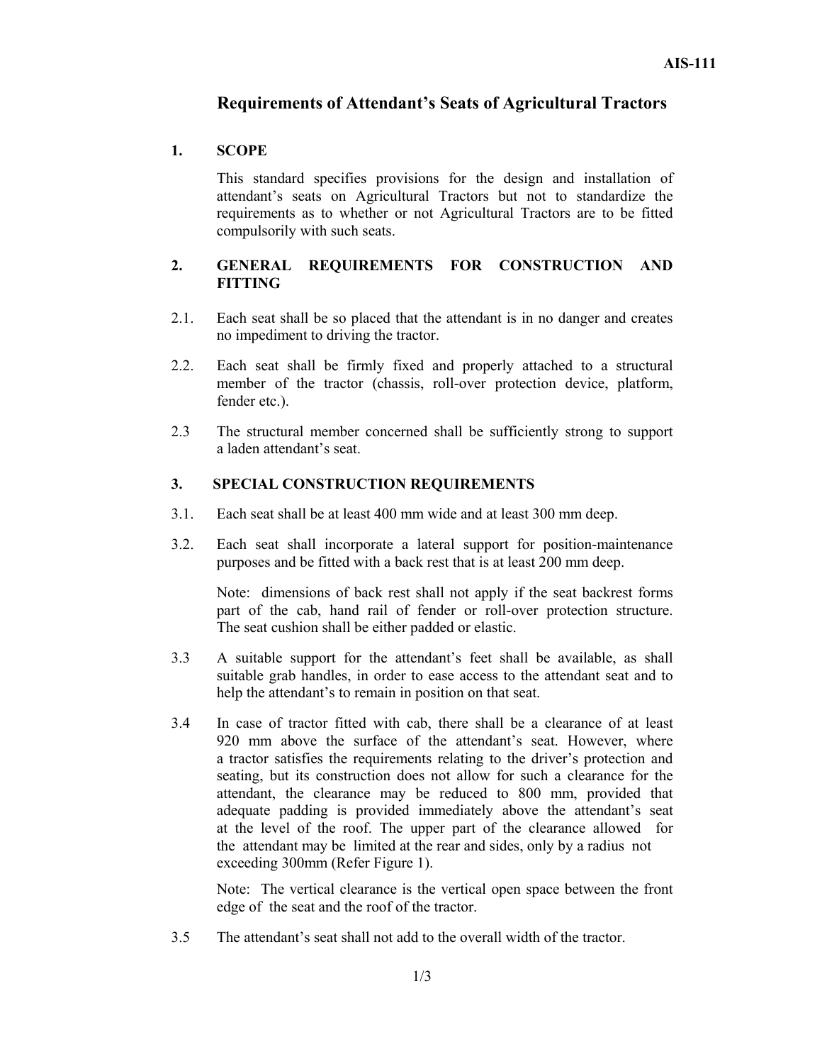## **Requirements of Attendant's Seats of Agricultural Tractors**

#### **1. SCOPE**

This standard specifies provisions for the design and installation of attendant's seats on Agricultural Tractors but not to standardize the requirements as to whether or not Agricultural Tractors are to be fitted compulsorily with such seats.

#### **2. GENERAL REQUIREMENTS FOR CONSTRUCTION AND FITTING**

- 2.1. Each seat shall be so placed that the attendant is in no danger and creates no impediment to driving the tractor.
- 2.2. Each seat shall be firmly fixed and properly attached to a structural member of the tractor (chassis, roll-over protection device, platform, fender etc.).
- 2.3 The structural member concerned shall be sufficiently strong to support a laden attendant's seat.

#### **3. SPECIAL CONSTRUCTION REQUIREMENTS**

- 3.1. Each seat shall be at least 400 mm wide and at least 300 mm deep.
- 3.2. Each seat shall incorporate a lateral support for position-maintenance purposes and be fitted with a back rest that is at least 200 mm deep.

Note: dimensions of back rest shall not apply if the seat backrest forms part of the cab, hand rail of fender or roll-over protection structure. The seat cushion shall be either padded or elastic.

- 3.3 A suitable support for the attendant's feet shall be available, as shall suitable grab handles, in order to ease access to the attendant seat and to help the attendant's to remain in position on that seat.
- 3.4 In case of tractor fitted with cab, there shall be a clearance of at least 920 mm above the surface of the attendant's seat. However, where a tractor satisfies the requirements relating to the driver's protection and seating, but its construction does not allow for such a clearance for the attendant, the clearance may be reduced to 800 mm, provided that adequate padding is provided immediately above the attendant's seat at the level of the roof. The upper part of the clearance allowed for the attendant may be limited at the rear and sides, only by a radius not exceeding 300mm (Refer Figure 1).

Note: The vertical clearance is the vertical open space between the front edge of the seat and the roof of the tractor.

3.5 The attendant's seat shall not add to the overall width of the tractor.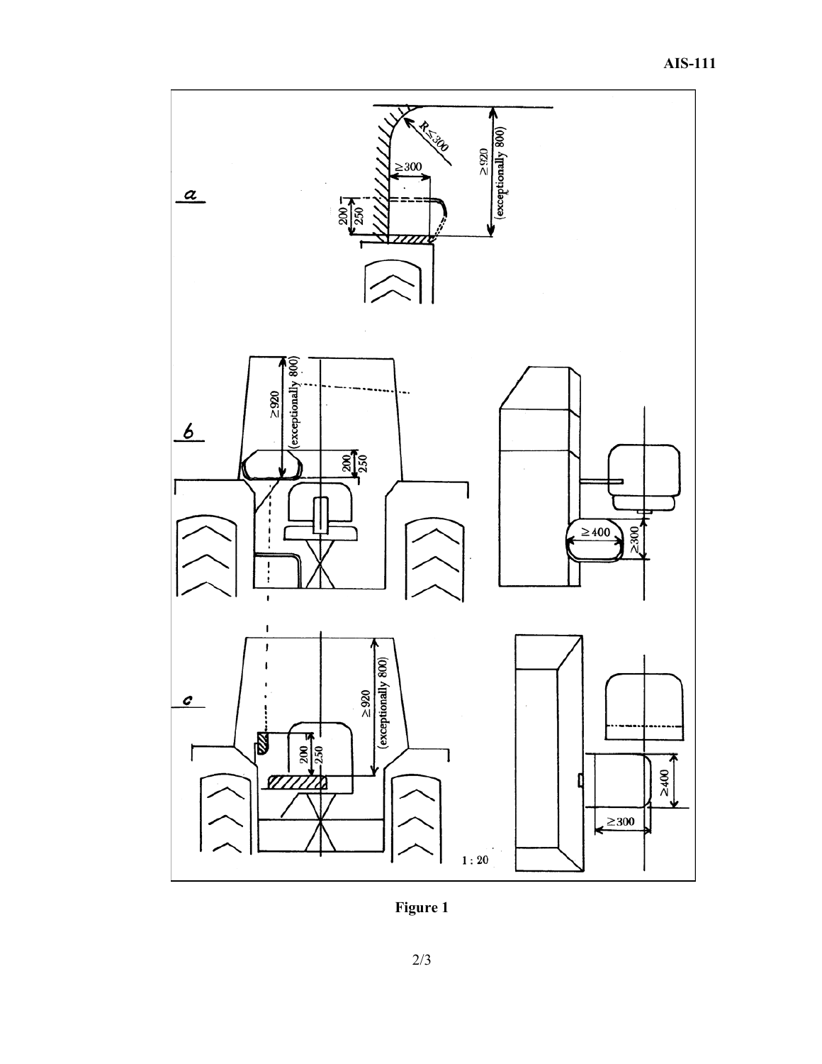

**Figure 1**